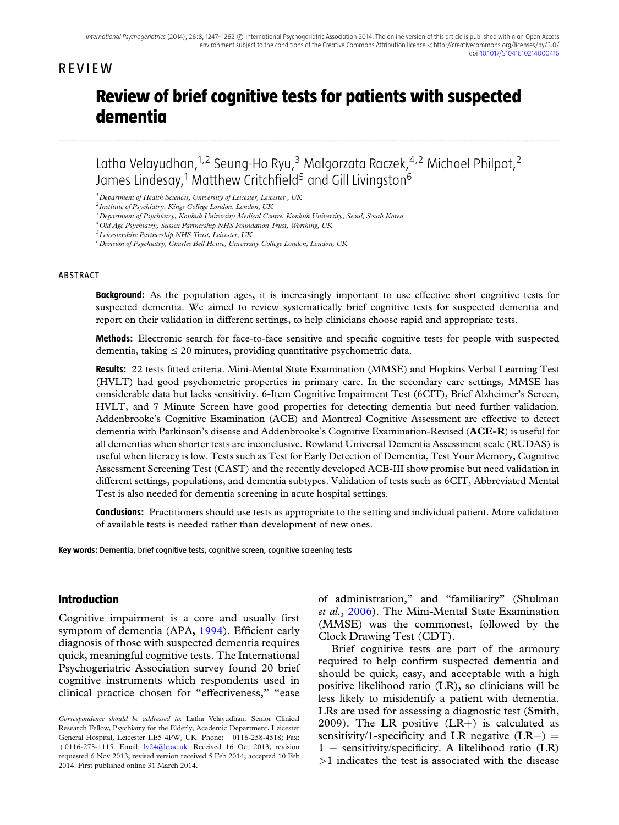# REVIEW

# **Review of brief cognitive tests for patients with suspected dementia**

Latha Velayudhan,<sup>1,2</sup> Seung-Ho Ryu,<sup>3</sup> Malgorzata Raczek,<sup>4,2</sup> Michael Philpot,<sup>2</sup> James Lindesay,<sup>1</sup> Matthew Critchfield<sup>5</sup> and Gill Livingston<sup>6</sup>

...........................................................................................................................................................................................................................................................................................................................................................................................................................................................................................................................................................................................................................................

*1Department of Health Sciences, University of Leicester, Leicester , UK*

*2Institute of Psychiatry, Kings College London, London, UK*

*3Department of Psychiatry, Konkuk University Medical Centre, Konkuk University, Seoul, South Korea*

*4Old Age Psychiatry, Sussex Partnership NHS Foundation Trust, Worthing, UK*

*5Leicestershire Partnership NHS Trust, Leicester, UK*

#### ABSTRACT

**Background:** As the population ages, it is increasingly important to use effective short cognitive tests for suspected dementia. We aimed to review systematically brief cognitive tests for suspected dementia and report on their validation in different settings, to help clinicians choose rapid and appropriate tests.

**Methods:** Electronic search for face-to-face sensitive and specific cognitive tests for people with suspected dementia, taking  $\leq 20$  minutes, providing quantitative psychometric data.

**Results:** 22 tests fitted criteria. Mini-Mental State Examination (MMSE) and Hopkins Verbal Learning Test (HVLT) had good psychometric properties in primary care. In the secondary care settings, MMSE has considerable data but lacks sensitivity. 6-Item Cognitive Impairment Test (6CIT), Brief Alzheimer's Screen, HVLT, and 7 Minute Screen have good properties for detecting dementia but need further validation. Addenbrooke's Cognitive Examination (ACE) and Montreal Cognitive Assessment are effective to detect dementia with Parkinson's disease and Addenbrooke's Cognitive Examination-Revised (**ACE-R**) is useful for all dementias when shorter tests are inconclusive. Rowland Universal Dementia Assessment scale (RUDAS) is useful when literacy is low. Tests such as Test for Early Detection of Dementia, Test Your Memory, Cognitive Assessment Screening Test (CAST) and the recently developed ACE-III show promise but need validation in different settings, populations, and dementia subtypes. Validation of tests such as 6CIT, Abbreviated Mental Test is also needed for dementia screening in acute hospital settings.

**Conclusions:** Practitioners should use tests as appropriate to the setting and individual patient. More validation of available tests is needed rather than development of new ones.

**Key words:** Dementia, brief cognitive tests, cognitive screen, cognitive screening tests

#### **Introduction**

Cognitive impairment is a core and usually first symptom of dementia (APA, [1994\)](#page-11-0). Efficient early diagnosis of those with suspected dementia requires quick, meaningful cognitive tests. The International Psychogeriatric Association survey found 20 brief cognitive instruments which respondents used in clinical practice chosen for "effectiveness," "ease

of administration," and "familiarity" (Shulman *et al.*, [2006\)](#page-13-0). The Mini-Mental State Examination (MMSE) was the commonest, followed by the Clock Drawing Test (CDT).

Brief cognitive tests are part of the armoury required to help confirm suspected dementia and should be quick, easy, and acceptable with a high positive likelihood ratio (LR), so clinicians will be less likely to misidentify a patient with dementia. LRs are used for assessing a diagnostic test (Smith, 2009). The LR positive  $(LR+)$  is calculated as sensitivity/1-specificity and LR negative  $(LR-)$  = 1 − sensitivity/specificity. A likelihood ratio (LR) >1 indicates the test is associated with the disease

*<sup>6</sup>Division of Psychiatry, Charles Bell House, University College London, London, UK*

*Correspondence should be addressed to*: Latha Velayudhan, Senior Clinical Research Fellow, Psychiatry for the Elderly, Academic Department, Leicester General Hospital, Leicester LE5 4PW, UK. Phone: +0116-258-4518; Fax:  $+0116-273-1115$ . Email:  $\frac{1}{24}$ @le.ac.uk. Received 16 Oct 2013; revision requested 6 Nov 2013; revised version received 5 Feb 2014; accepted 10 Feb 2014. First published online 31 March 2014.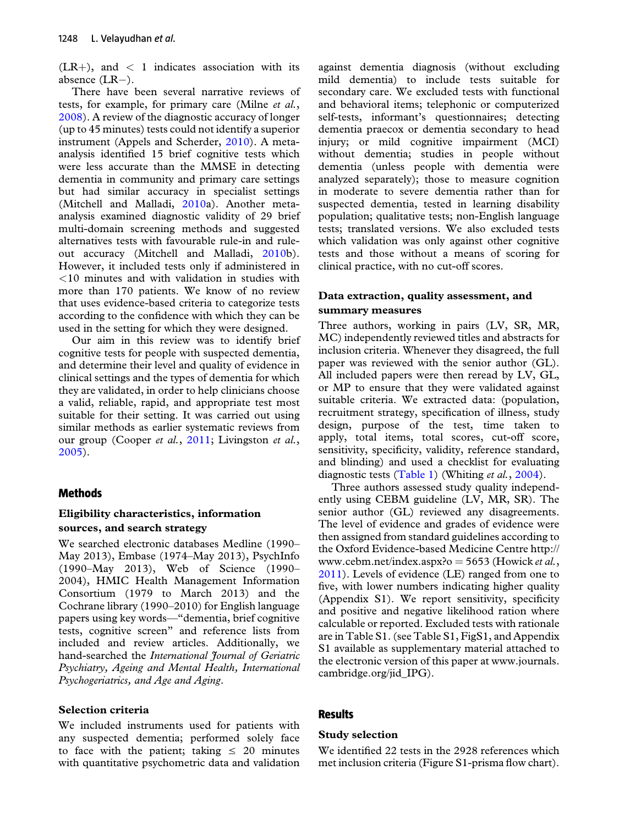$(LR+)$ , and  $\lt$  1 indicates association with its absence (LR−).

There have been several narrative reviews of tests, for example, for primary care (Milne *et al.*, [2008\)](#page-13-0). A review of the diagnostic accuracy of longer (up to 45 minutes) tests could not identify a superior instrument (Appels and Scherder, [2010\)](#page-11-0). A metaanalysis identified 15 brief cognitive tests which were less accurate than the MMSE in detecting dementia in community and primary care settings but had similar accuracy in specialist settings (Mitchell and Malladi, [2010a](#page-13-0)). Another metaanalysis examined diagnostic validity of 29 brief multi-domain screening methods and suggested alternatives tests with favourable rule-in and ruleout accuracy (Mitchell and Malladi, [2010b](#page-13-0)). However, it included tests only if administered in <10 minutes and with validation in studies with more than 170 patients. We know of no review that uses evidence-based criteria to categorize tests according to the confidence with which they can be used in the setting for which they were designed.

Our aim in this review was to identify brief cognitive tests for people with suspected dementia, and determine their level and quality of evidence in clinical settings and the types of dementia for which they are validated, in order to help clinicians choose a valid, reliable, rapid, and appropriate test most suitable for their setting. It was carried out using similar methods as earlier systematic reviews from our group (Cooper *et al.*, [2011;](#page-12-0) Livingston *et al.*, [2005\)](#page-12-0).

#### **Methods**

# **Eligibility characteristics, information sources, and search strategy**

We searched electronic databases Medline (1990– May 2013), Embase (1974–May 2013), PsychInfo (1990–May 2013), Web of Science (1990– 2004), HMIC Health Management Information Consortium (1979 to March 2013) and the Cochrane library (1990–2010) for English language papers using key words—"dementia, brief cognitive tests, cognitive screen" and reference lists from included and review articles. Additionally, we hand-searched the *International Journal of Geriatric Psychiatry, Ageing and Mental Health, International Psychogeriatrics, and Age and Aging*.

#### **Selection criteria**

We included instruments used for patients with any suspected dementia; performed solely face to face with the patient; taking  $\leq 20$  minutes with quantitative psychometric data and validation against dementia diagnosis (without excluding mild dementia) to include tests suitable for secondary care. We excluded tests with functional and behavioral items; telephonic or computerized self-tests, informant's questionnaires; detecting dementia praecox or dementia secondary to head injury; or mild cognitive impairment (MCI) without dementia; studies in people without dementia (unless people with dementia were analyzed separately); those to measure cognition in moderate to severe dementia rather than for suspected dementia, tested in learning disability population; qualitative tests; non-English language tests; translated versions. We also excluded tests which validation was only against other cognitive tests and those without a means of scoring for clinical practice, with no cut-off scores.

# **Data extraction, quality assessment, and summary measures**

Three authors, working in pairs (LV, SR, MR, MC) independently reviewed titles and abstracts for inclusion criteria. Whenever they disagreed, the full paper was reviewed with the senior author (GL). All included papers were then reread by LV, GL, or MP to ensure that they were validated against suitable criteria. We extracted data: (population, recruitment strategy, specification of illness, study design, purpose of the test, time taken to apply, total items, total scores, cut-off score, sensitivity, specificity, validity, reference standard, and blinding) and used a checklist for evaluating diagnostic tests [\(Table 1\)](#page-2-0) (Whiting *et al.*, [2004\)](#page-14-0).

Three authors assessed study quality independently using CEBM guideline (LV, MR, SR). The senior author (GL) reviewed any disagreements. The level of evidence and grades of evidence were then assigned from standard guidelines according to the Oxford Evidence-based Medicine Centre http:// www.cebm.net/index.aspx?o = 5653 (Howick *et al.*, [2011\)](#page-12-0). Levels of evidence (LE) ranged from one to five, with lower numbers indicating higher quality (Appendix S1). We report sensitivity, specificity and positive and negative likelihood ration where calculable or reported. Excluded tests with rationale are in Table S1. (see Table S1, FigS1, and Appendix S1 available as supplementary material attached to the electronic version of this paper at www.journals. cambridge.org/jid\_IPG).

#### **Results**

#### **Study selection**

We identified 22 tests in the 2928 references which met inclusion criteria (Figure S1-prisma flow chart).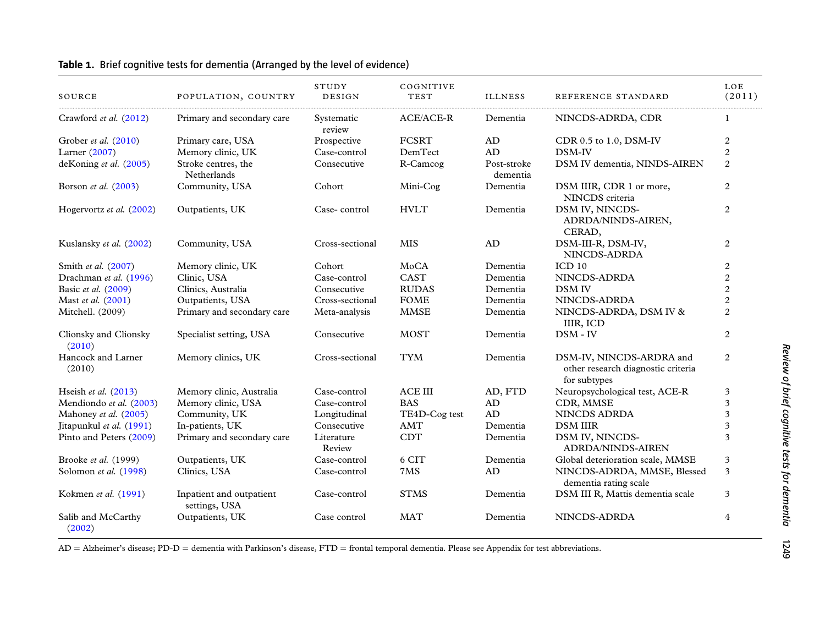| SOURCE                          | POPULATION, COUNTRY                       | STUDY<br>DESIGN      | COGNITIVE<br><b>TEST</b> | <b>ILLNESS</b>          | REFERENCE STANDARD                                                             | LOE<br>(2011)           |
|---------------------------------|-------------------------------------------|----------------------|--------------------------|-------------------------|--------------------------------------------------------------------------------|-------------------------|
| Crawford et al. (2012)          | Primary and secondary care                | Systematic<br>review | ACE/ACE-R                | Dementia                | NINCDS-ADRDA, CDR                                                              | 1                       |
| Grober et al. (2010)            | Primary care, USA                         | Prospective          | <b>FCSRT</b>             | AD                      | CDR 0.5 to 1.0, DSM-IV                                                         | 2                       |
| Larner $(2007)$                 | Memory clinic, UK                         | Case-control         | DemTect                  | <b>AD</b>               | DSM-IV                                                                         | $\overline{c}$          |
| de Koning et al. $(2005)$       | Stroke centres, the<br>Netherlands        | Consecutive          | R-Camcog                 | Post-stroke<br>dementia | DSM IV dementia, NINDS-AIREN                                                   | 2                       |
| Borson et al. (2003)            | Community, USA                            | Cohort               | Mini-Cog                 | Dementia                | DSM IIIR, CDR 1 or more,<br>NINCDS criteria                                    | 2                       |
| Hogervortz et al. (2002)        | Outpatients, UK                           | Case-control         | <b>HVLT</b>              | Dementia                | DSM IV, NINCDS-<br>ADRDA/NINDS-AIREN,<br>CERAD,                                | 2                       |
| Kuslansky et al. (2002)         | Community, USA                            | Cross-sectional      | <b>MIS</b>               | AD                      | DSM-III-R, DSM-IV,<br>NINCDS-ADRDA                                             | 2                       |
| Smith et al. (2007)             | Memory clinic, UK                         | Cohort               | MoCA                     | Dementia                | ICD <sub>10</sub>                                                              | $\boldsymbol{2}$        |
| Drachman et al. (1996)          | Clinic, USA                               | Case-control         | <b>CAST</b>              | Dementia                | NINCDS-ADRDA                                                                   | $\overline{c}$          |
| Basic et al. (2009)             | Clinics, Australia                        | Consecutive          | <b>RUDAS</b>             | Dementia                | <b>DSM IV</b>                                                                  | $\overline{2}$          |
| Mast et al. (2001)              | Outpatients, USA                          | Cross-sectional      | <b>FOME</b>              | Dementia                | NINCDS-ADRDA                                                                   | $\overline{c}$          |
| Mitchell. (2009)                | Primary and secondary care                | Meta-analysis        | <b>MMSE</b>              | Dementia                | NINCDS-ADRDA, DSM IV &<br>IIIR, ICD                                            | 2                       |
| Clionsky and Clionsky<br>(2010) | Specialist setting, USA                   | Consecutive          | <b>MOST</b>              | Dementia                | $DSM - IV$                                                                     | 2                       |
| Hancock and Larner<br>(2010)    | Memory clinics, UK                        | Cross-sectional      | <b>TYM</b>               | Dementia                | DSM-IV, NINCDS-ARDRA and<br>other research diagnostic criteria<br>for subtypes | 2                       |
| Hseish et al. $(2013)$          | Memory clinic, Australia                  | Case-control         | <b>ACE III</b>           | AD, FTD                 | Neuropsychological test, ACE-R                                                 | 3                       |
| Mendiondo et al. (2003)         | Memory clinic, USA                        | Case-control         | <b>BAS</b>               | AD                      | CDR, MMSE                                                                      | 3                       |
| Mahoney et al. (2005)           | Community, UK                             | Longitudinal         | TE4D-Cog test            | AD                      | <b>NINCDS ADRDA</b>                                                            | 3                       |
| Jitapunkul et al. (1991)        | In-patients, UK                           | Consecutive          | AMT                      | Dementia                | <b>DSM IIIR</b>                                                                | 3                       |
| Pinto and Peters (2009)         | Primary and secondary care                | Literature<br>Review | <b>CDT</b>               | Dementia                | DSM IV, NINCDS-<br><b>ADRDA/NINDS-AIREN</b>                                    | 3                       |
| Brooke et al. (1999)            | Outpatients, UK                           | Case-control         | 6 CIT                    | Dementia                | Global deterioration scale, MMSE                                               | 3                       |
| Solomon et al. (1998)           | Clinics, USA                              | Case-control         | 7MS                      | AD                      | NINCDS-ADRDA, MMSE, Blessed<br>dementia rating scale                           | $\overline{\mathbf{3}}$ |
| Kokmen et al. (1991)            | Inpatient and outpatient<br>settings, USA | Case-control         | <b>STMS</b>              | Dementia                | DSM III R, Mattis dementia scale                                               | 3                       |
| Salib and McCarthy<br>(2002)    | Outpatients, UK                           | Case control         | <b>MAT</b>               | Dementia                | NINCDS-ADRDA                                                                   | $\overline{4}$          |

## <span id="page-2-0"></span>**Table 1.** Brief cognitive tests for dementia (Arranged by the level of evidence)

AD <sup>=</sup> Alzheimer's disease; PD-D <sup>=</sup> dementia with Parkinson's disease, FTD <sup>=</sup> frontal temporal dementia. Please see Appendix for test abbreviations.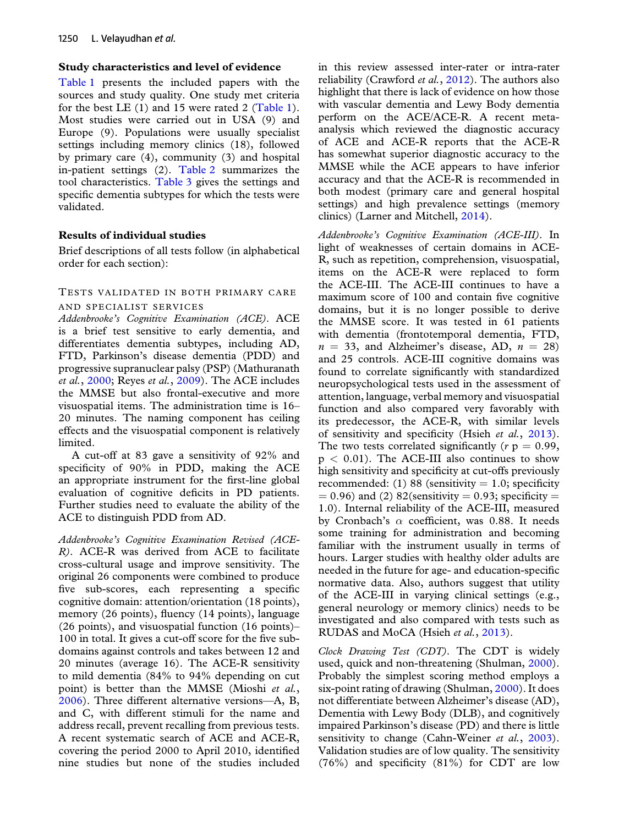#### **Study characteristics and level of evidence**

[Table 1](#page-2-0) presents the included papers with the sources and study quality. One study met criteria for the best LE (1) and 15 were rated 2 [\(Table 1\)](#page-2-0). Most studies were carried out in USA (9) and Europe (9). Populations were usually specialist settings including memory clinics (18), followed by primary care (4), community (3) and hospital in-patient settings (2). [Table 2](#page-4-0) summarizes the tool characteristics. [Table 3](#page-5-0) gives the settings and specific dementia subtypes for which the tests were validated.

#### **Results of individual studies**

Brief descriptions of all tests follow (in alphabetical order for each section):

#### TESTS VALIDATED IN BOTH PRIMARY CARE AND SPECIALIST SERVICES

*Addenbrooke's Cognitive Examination (ACE).* ACE is a brief test sensitive to early dementia, and differentiates dementia subtypes, including AD, FTD, Parkinson's disease dementia (PDD) and progressive supranuclear palsy (PSP) (Mathuranath *et al.*, [2000;](#page-13-0) Reyes *et al.*, [2009\)](#page-13-0). The ACE includes the MMSE but also frontal-executive and more visuospatial items. The administration time is 16– 20 minutes. The naming component has ceiling effects and the visuospatial component is relatively limited.

A cut-off at 83 gave a sensitivity of 92% and specificity of 90% in PDD, making the ACE an appropriate instrument for the first-line global evaluation of cognitive deficits in PD patients. Further studies need to evaluate the ability of the ACE to distinguish PDD from AD.

*Addenbrooke's Cognitive Examination Revised (ACE-R).* ACE-R was derived from ACE to facilitate cross-cultural usage and improve sensitivity. The original 26 components were combined to produce five sub-scores, each representing a specific cognitive domain: attention/orientation (18 points), memory (26 points), fluency (14 points), language (26 points), and visuospatial function (16 points)– 100 in total. It gives a cut-off score for the five subdomains against controls and takes between 12 and 20 minutes (average 16). The ACE-R sensitivity to mild dementia (84% to 94% depending on cut point) is better than the MMSE (Mioshi *et al.*, [2006\)](#page-13-0). Three different alternative versions—A, B, and C, with different stimuli for the name and address recall, prevent recalling from previous tests. A recent systematic search of ACE and ACE-R, covering the period 2000 to April 2010, identified nine studies but none of the studies included

in this review assessed inter-rater or intra-rater reliability (Crawford *et al.*, [2012\)](#page-12-0). The authors also highlight that there is lack of evidence on how those with vascular dementia and Lewy Body dementia perform on the ACE/ACE-R. A recent metaanalysis which reviewed the diagnostic accuracy of ACE and ACE-R reports that the ACE-R has somewhat superior diagnostic accuracy to the MMSE while the ACE appears to have inferior accuracy and that the ACE-R is recommended in both modest (primary care and general hospital settings) and high prevalence settings (memory clinics) (Larner and Mitchell, [2014\)](#page-12-0).

*Addenbrooke's Cognitive Examination (ACE-III).* In light of weaknesses of certain domains in ACE-R, such as repetition, comprehension, visuospatial, items on the ACE-R were replaced to form the ACE-III. The ACE-III continues to have a maximum score of 100 and contain five cognitive domains, but it is no longer possible to derive the MMSE score. It was tested in 61 patients with dementia (frontotemporal dementia, FTD,  $n = 33$ , and Alzheimer's disease, AD,  $n = 28$ ) and 25 controls. ACE-III cognitive domains was found to correlate significantly with standardized neuropsychological tests used in the assessment of attention, language, verbal memory and visuospatial function and also compared very favorably with its predecessor, the ACE-R, with similar levels of sensitivity and specificity (Hsieh *et al.*, [2013\)](#page-12-0). The two tests correlated significantly  $(r p = 0.99,$  $p < 0.01$ ). The ACE-III also continues to show high sensitivity and specificity at cut-offs previously recommended: (1) 88 (sensitivity  $= 1.0$ ; specificity  $= 0.96$ ) and (2) 82(sensitivity  $= 0.93$ ; specificity  $=$ 1.0). Internal reliability of the ACE-III, measured by Cronbach's  $\alpha$  coefficient, was 0.88. It needs some training for administration and becoming familiar with the instrument usually in terms of hours. Larger studies with healthy older adults are needed in the future for age- and education-specific normative data. Also, authors suggest that utility of the ACE-III in varying clinical settings (e.g., general neurology or memory clinics) needs to be investigated and also compared with tests such as RUDAS and MoCA (Hsieh *et al.*, [2013\)](#page-12-0).

*Clock Drawing Test (CDT).* The CDT is widely used, quick and non-threatening (Shulman, [2000\)](#page-13-0). Probably the simplest scoring method employs a six-point rating of drawing (Shulman, [2000\)](#page-13-0). It does not differentiate between Alzheimer's disease (AD), Dementia with Lewy Body (DLB), and cognitively impaired Parkinson's disease (PD) and there is little sensitivity to change (Cahn-Weiner *et al.*, [2003\)](#page-11-0). Validation studies are of low quality. The sensitivity (76%) and specificity (81%) for CDT are low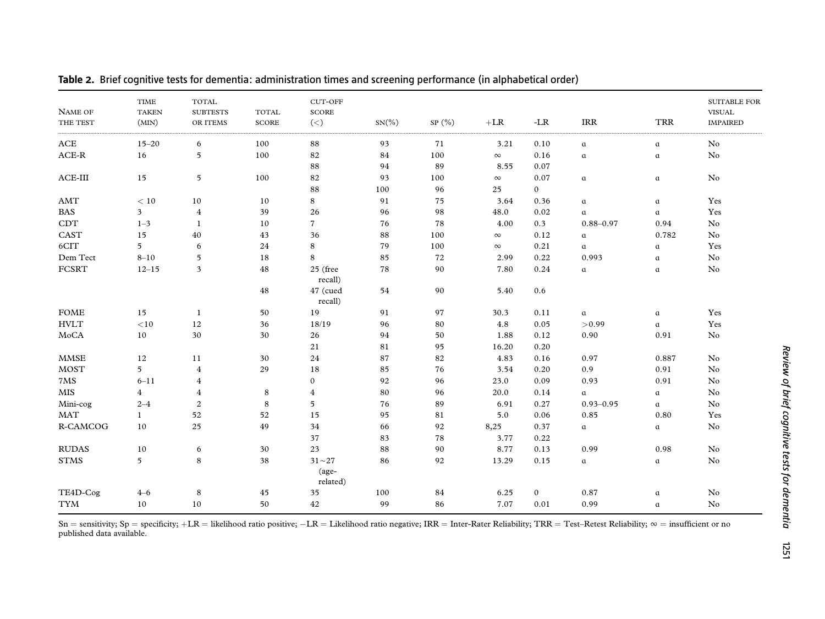| NAME OF<br>THE TEST         | TIME<br><b>TAKEN</b><br>(MIN) | <b>TOTAL</b><br><b>SUBTESTS</b><br>OR ITEMS | <b>TOTAL</b><br><b>SCORE</b> | CUT-OFF<br><b>SCORE</b><br>$(\lt)$ | $SN(\%)$ | SP $(\%)$ | $+LR$    | $-LR$          | <b>IRR</b>    | <b>TRR</b>     | <b>SUITABLE FOR</b><br><b>VISUAL</b><br><b>IMPAIRED</b> |
|-----------------------------|-------------------------------|---------------------------------------------|------------------------------|------------------------------------|----------|-----------|----------|----------------|---------------|----------------|---------------------------------------------------------|
| ACE                         | $15 - 20$                     | 6                                           | 100                          | 88                                 | 93       | 71        | 3.21     | 0.10           | $\alpha$      | $\alpha$       | $\rm No$                                                |
| $ACE-R$                     | 16                            | 5                                           | 100                          | 82                                 | 84       | 100       | $\infty$ | 0.16           | $\alpha$      | $\alpha$       | No                                                      |
|                             |                               |                                             |                              | 88                                 | 94       | 89        | 8.55     | 0.07           |               |                |                                                         |
| $ACE-III$                   | 15                            | 5                                           | 100                          | 82                                 | 93       | 100       | $\infty$ | 0.07           | $\alpha$      | $\alpha$       | $\rm No$                                                |
|                             |                               |                                             |                              | 88                                 | 100      | 96        | 25       | $\overline{0}$ |               |                |                                                         |
| AMT                         | < 10                          | 10                                          | 10                           | 8                                  | 91       | 75        | 3.64     | 0.36           | $\alpha$      | $\mathfrak a$  | Yes                                                     |
| <b>BAS</b>                  | $\overline{3}$                | $\boldsymbol{4}$                            | 39                           | 26                                 | 96       | 98        | 48.0     | 0.02           | α             | $\alpha$       | Yes                                                     |
| $\ensuremath{\mathrm{CDT}}$ | $1 - 3$                       | $\mathbf{1}$                                | 10                           | $\overline{7}$                     | 76       | 78        | 4.00     | 0.3            | $0.88 - 0.97$ | 0.94           | No                                                      |
| CAST                        | 15                            | 40                                          | 43                           | 36                                 | 88       | 100       | $\infty$ | 0.12           | α             | 0.782          | No                                                      |
| 6CIT                        | 5                             | 6                                           | 24                           | 8                                  | 79       | 100       | $\infty$ | 0.21           | α             | $\alpha$       | Yes                                                     |
| Dem Tect                    | $8 - 10$                      | 5                                           | 18                           | 8                                  | 85       | 72        | 2.99     | 0.22           | 0.993         | $\alpha$       | No                                                      |
| <b>FCSRT</b>                | $12 - 15$                     | 3                                           | 48                           | 25 (free<br>recall)                | 78       | 90        | 7.80     | 0.24           | $\alpha$      | $\alpha$       | No                                                      |
|                             |                               |                                             | 48                           | 47 (cued<br>recall)                | 54       | 90        | 5.40     | 0.6            |               |                |                                                         |
| <b>FOME</b>                 | 15                            | $\mathbf{1}$                                | 50                           | 19                                 | 91       | 97        | 30.3     | 0.11           | $\alpha$      | $\alpha$       | Yes                                                     |
| <b>HVLT</b>                 | $<$ 10                        | 12                                          | 36                           | 18/19                              | 96       | 80        | 4.8      | 0.05           | > 0.99        | $\mathfrak{a}$ | Yes                                                     |
| MoCA                        | 10                            | 30                                          | 30                           | 26                                 | 94       | 50        | 1.88     | 0.12           | 0.90          | 0.91           | No                                                      |
|                             |                               |                                             |                              | 21                                 | 81       | 95        | 16.20    | 0.20           |               |                |                                                         |
| <b>MMSE</b>                 | 12                            | 11                                          | 30                           | 24                                 | 87       | 82        | 4.83     | 0.16           | 0.97          | 0.887          | $\overline{N}$                                          |
| <b>MOST</b>                 | $5^{\circ}$                   | 4                                           | 29                           | 18                                 | 85       | 76        | 3.54     | 0.20           | 0.9           | 0.91           | No                                                      |
| 7MS                         | $6 - 11$                      | 4                                           |                              | $\mathbf{0}$                       | 92       | 96        | 23.0     | 0.09           | 0.93          | 0.91           | No                                                      |
| <b>MIS</b>                  | $\overline{4}$                | 4                                           | 8                            | $\overline{4}$                     | 80       | 96        | 20.0     | 0.14           | $\alpha$      | $\alpha$       | $\rm No$                                                |
| Mini-cog                    | $2 - 4$                       | $\overline{c}$                              | 8                            | 5                                  | 76       | 89        | 6.91     | 0.27           | $0.93 - 0.95$ | $\alpha$       | $\rm No$                                                |
| <b>MAT</b>                  | $\mathbf{1}$                  | 52                                          | 52                           | 15                                 | 95       | 81        | 5.0      | 0.06           | 0.85          | 0.80           | Yes                                                     |
| R-CAMCOG                    | 10                            | 25                                          | 49                           | 34                                 | 66       | 92        | 8,25     | 0.37           | $\alpha$      | $\alpha$       | $\rm No$                                                |
|                             |                               |                                             |                              | 37                                 | 83       | 78        | 3.77     | 0.22           |               |                |                                                         |
| <b>RUDAS</b>                | 10                            | 6                                           | 30                           | 23                                 | 88       | 90        | 8.77     | 0.13           | 0.99          | 0.98           | $\rm No$                                                |
| <b>STMS</b>                 | 5                             | 8                                           | 38                           | $31 - 27$<br>$(age-$<br>related)   | 86       | 92        | 13.29    | 0.15           | $\mathfrak a$ | $\alpha$       | $\rm No$                                                |
| TE4D-Cog                    | $4 - 6$                       | 8                                           | 45                           | 35                                 | 100      | 84        | 6.25     | $\mathbf{0}$   | 0.87          | $\alpha$       | No                                                      |
| <b>TYM</b>                  | 10                            | 10                                          | 50                           | 42                                 | 99       | 86        | 7.07     | 0.01           | 0.99          | $\alpha$       | No                                                      |

<span id="page-4-0"></span>**Table 2.** Brief cognitive tests for dementia: administration times and screening performance (in alphabetical order)

Sn = sensitivity; Sp = specificity; +LR = likelihood ratio positive;  $-LR =$  Likelihood ratio negative; IRR = Inter-Rater Reliability; TRR = Test–Retest Reliability;  $\infty$  = insufficient or no published data available.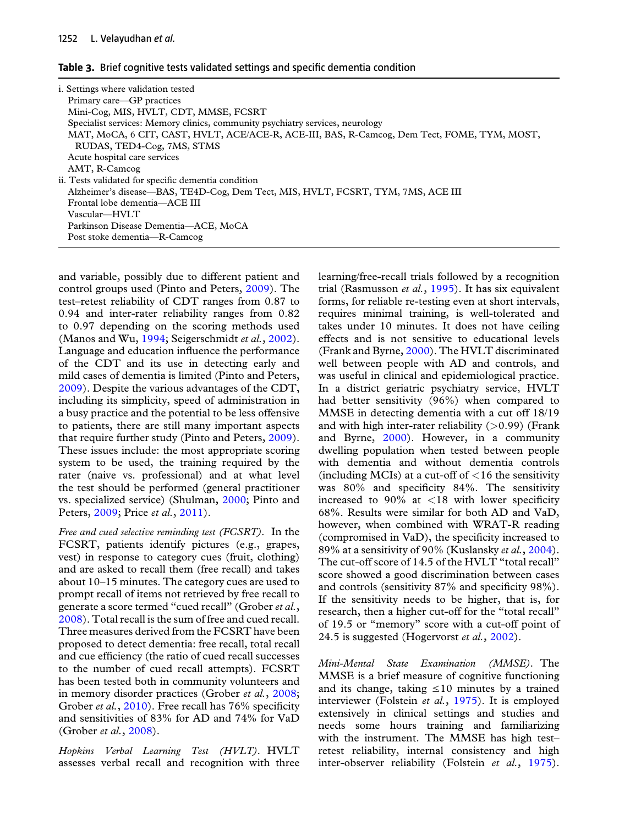<span id="page-5-0"></span>

| i. Settings where validation tested                                                         |
|---------------------------------------------------------------------------------------------|
| Primary care—GP practices                                                                   |
| Mini-Cog, MIS, HVLT, CDT, MMSE, FCSRT                                                       |
| Specialist services: Memory clinics, community psychiatry services, neurology               |
| MAT, MoCA, 6 CIT, CAST, HVLT, ACE/ACE-R, ACE-III, BAS, R-Camcog, Dem Tect, FOME, TYM, MOST, |
| RUDAS, TED4-Cog, 7MS, STMS                                                                  |
| Acute hospital care services                                                                |
| AMT, R-Camcog                                                                               |
| ii. Tests validated for specific dementia condition                                         |
| Alzheimer's disease—BAS, TE4D-Cog, Dem Tect, MIS, HVLT, FCSRT, TYM, 7MS, ACE III            |
| Frontal lobe dementia—ACE III                                                               |
| Vascular—HVLT                                                                               |
| Parkinson Disease Dementia-ACE, MoCA                                                        |
| Post stoke dementia—R-Camcog                                                                |

and variable, possibly due to different patient and control groups used (Pinto and Peters, [2009\)](#page-13-0). The test–retest reliability of CDT ranges from 0.87 to 0.94 and inter-rater reliability ranges from 0.82 to 0.97 depending on the scoring methods used (Manos and Wu, [1994;](#page-13-0) Seigerschmidt *et al.*, [2002\)](#page-13-0). Language and education influence the performance of the CDT and its use in detecting early and mild cases of dementia is limited (Pinto and Peters, [2009\)](#page-13-0). Despite the various advantages of the CDT, including its simplicity, speed of administration in a busy practice and the potential to be less offensive to patients, there are still many important aspects that require further study (Pinto and Peters, [2009\)](#page-13-0). These issues include: the most appropriate scoring system to be used, the training required by the rater (naive vs. professional) and at what level the test should be performed (general practitioner vs. specialized service) (Shulman, [2000;](#page-13-0) Pinto and Peters, [2009;](#page-13-0) Price *et al.*, [2011\)](#page-13-0).

*Free and cued selective reminding test (FCSRT).* In the FCSRT, patients identify pictures (e.g., grapes, vest) in response to category cues (fruit, clothing) and are asked to recall them (free recall) and takes about 10–15 minutes. The category cues are used to prompt recall of items not retrieved by free recall to generate a score termed "cued recall" (Grober *et al.*, [2008\)](#page-12-0). Total recall is the sum of free and cued recall. Three measures derived from the FCSRT have been proposed to detect dementia: free recall, total recall and cue efficiency (the ratio of cued recall successes to the number of cued recall attempts). FCSRT has been tested both in community volunteers and in memory disorder practices (Grober *et al.*, [2008;](#page-12-0) Grober *et al.*, [2010\)](#page-12-0). Free recall has 76% specificity and sensitivities of 83% for AD and 74% for VaD (Grober *et al.*, [2008\)](#page-12-0).

*Hopkins Verbal Learning Test (HVLT).* HVLT assesses verbal recall and recognition with three learning/free-recall trials followed by a recognition trial (Rasmusson *et al.*, [1995\)](#page-13-0). It has six equivalent forms, for reliable re-testing even at short intervals, requires minimal training, is well-tolerated and takes under 10 minutes. It does not have ceiling effects and is not sensitive to educational levels (Frank and Byrne, [2000\)](#page-12-0). The HVLT discriminated well between people with AD and controls, and was useful in clinical and epidemiological practice. In a district geriatric psychiatry service, HVLT had better sensitivity (96%) when compared to MMSE in detecting dementia with a cut off 18/19 and with high inter-rater reliability  $(>0.99)$  (Frank and Byrne, [2000\)](#page-12-0). However, in a community dwelling population when tested between people with dementia and without dementia controls (including MCIs) at a cut-off of  $\langle 16$  the sensitivity was 80% and specificity 84%. The sensitivity increased to 90% at <18 with lower specificity 68%. Results were similar for both AD and VaD, however, when combined with WRAT-R reading (compromised in VaD), the specificity increased to 89% at a sensitivity of 90% (Kuslansky *et al.*, [2004\)](#page-12-0). The cut-off score of 14.5 of the HVLT "total recall" score showed a good discrimination between cases and controls (sensitivity 87% and specificity 98%). If the sensitivity needs to be higher, that is, for research, then a higher cut-off for the "total recall" of 19.5 or "memory" score with a cut-off point of 24.5 is suggested (Hogervorst *et al.*, [2002\)](#page-12-0).

*Mini-Mental State Examination (MMSE).* The MMSE is a brief measure of cognitive functioning and its change, taking  $\leq 10$  minutes by a trained interviewer (Folstein *et al.*, [1975\)](#page-12-0). It is employed extensively in clinical settings and studies and needs some hours training and familiarizing with the instrument. The MMSE has high test– retest reliability, internal consistency and high inter-observer reliability (Folstein *et al.*, [1975\)](#page-12-0).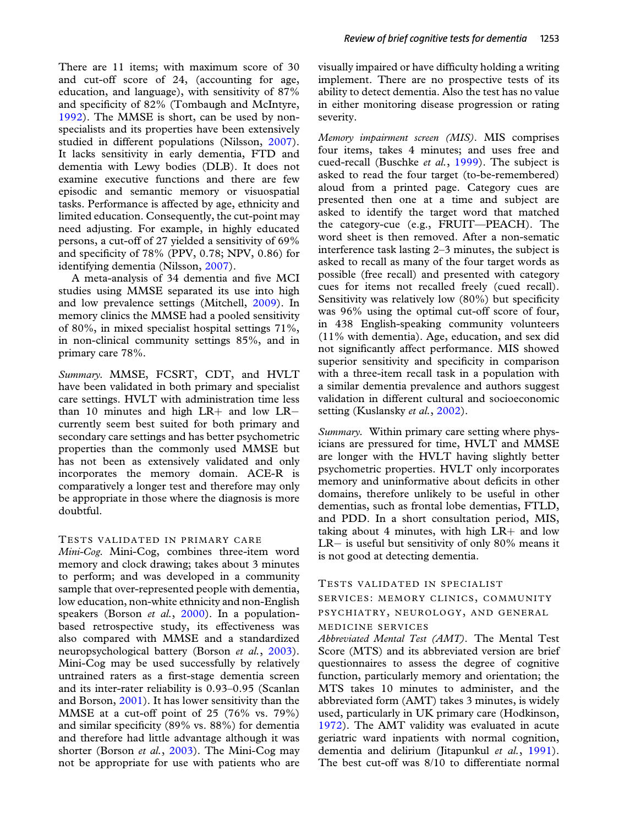There are 11 items; with maximum score of 30 and cut-off score of 24, (accounting for age, education, and language), with sensitivity of 87% and specificity of 82% (Tombaugh and McIntyre, [1992\)](#page-14-0). The MMSE is short, can be used by nonspecialists and its properties have been extensively studied in different populations (Nilsson, [2007\)](#page-13-0). It lacks sensitivity in early dementia, FTD and dementia with Lewy bodies (DLB). It does not examine executive functions and there are few episodic and semantic memory or visuospatial tasks. Performance is affected by age, ethnicity and limited education. Consequently, the cut-point may need adjusting. For example, in highly educated persons, a cut-off of 27 yielded a sensitivity of 69% and specificity of 78% (PPV, 0.78; NPV, 0.86) for identifying dementia (Nilsson, [2007\)](#page-13-0).

A meta-analysis of 34 dementia and five MCI studies using MMSE separated its use into high and low prevalence settings (Mitchell, [2009\)](#page-13-0). In memory clinics the MMSE had a pooled sensitivity of 80%, in mixed specialist hospital settings 71%, in non-clinical community settings 85%, and in primary care 78%.

*Summary.* MMSE, FCSRT, CDT, and HVLT have been validated in both primary and specialist care settings. HVLT with administration time less than 10 minutes and high LR+ and low LR− currently seem best suited for both primary and secondary care settings and has better psychometric properties than the commonly used MMSE but has not been as extensively validated and only incorporates the memory domain. ACE-R is comparatively a longer test and therefore may only be appropriate in those where the diagnosis is more doubtful.

#### TESTS VALIDATED IN PRIMARY CARE

*Mini-Cog.* Mini-Cog, combines three-item word memory and clock drawing; takes about 3 minutes to perform; and was developed in a community sample that over-represented people with dementia, low education, non-white ethnicity and non-English speakers (Borson *et al.*, [2000\)](#page-11-0). In a populationbased retrospective study, its effectiveness was also compared with MMSE and a standardized neuropsychological battery (Borson *et al.*, [2003\)](#page-11-0). Mini-Cog may be used successfully by relatively untrained raters as a first-stage dementia screen and its inter-rater reliability is 0.93–0.95 (Scanlan and Borson, [2001\)](#page-13-0). It has lower sensitivity than the MMSE at a cut-off point of 25 (76% vs. 79%) and similar specificity (89% vs. 88%) for dementia and therefore had little advantage although it was shorter (Borson *et al.*, [2003\)](#page-11-0). The Mini-Cog may not be appropriate for use with patients who are

visually impaired or have difficulty holding a writing implement. There are no prospective tests of its ability to detect dementia. Also the test has no value in either monitoring disease progression or rating severity.

*Memory impairment screen (MIS).* MIS comprises four items, takes 4 minutes; and uses free and cued-recall (Buschke *et al.*, [1999\)](#page-11-0). The subject is asked to read the four target (to-be-remembered) aloud from a printed page. Category cues are presented then one at a time and subject are asked to identify the target word that matched the category-cue (e.g., FRUIT—PEACH). The word sheet is then removed. After a non-sematic interference task lasting 2–3 minutes, the subject is asked to recall as many of the four target words as possible (free recall) and presented with category cues for items not recalled freely (cued recall). Sensitivity was relatively low (80%) but specificity was 96% using the optimal cut-off score of four, in 438 English-speaking community volunteers (11% with dementia). Age, education, and sex did not significantly affect performance. MIS showed superior sensitivity and specificity in comparison with a three-item recall task in a population with a similar dementia prevalence and authors suggest validation in different cultural and socioeconomic setting (Kuslansky *et al.*, [2002\)](#page-12-0).

*Summary.* Within primary care setting where physicians are pressured for time, HVLT and MMSE are longer with the HVLT having slightly better psychometric properties. HVLT only incorporates memory and uninformative about deficits in other domains, therefore unlikely to be useful in other dementias, such as frontal lobe dementias, FTLD, and PDD. In a short consultation period, MIS, taking about 4 minutes, with high  $LR+$  and low LR− is useful but sensitivity of only 80% means it is not good at detecting dementia.

#### TESTS VALIDATED IN SPECIALIST

# SERVICES: MEMORY CLINICS, COMMUNITY PSYCHIATRY, NEUROLOGY, AND GENERAL

#### MEDICINE SERVICES

*Abbreviated Mental Test (AMT).* The Mental Test Score (MTS) and its abbreviated version are brief questionnaires to assess the degree of cognitive function, particularly memory and orientation; the MTS takes 10 minutes to administer, and the abbreviated form (AMT) takes 3 minutes, is widely used, particularly in UK primary care (Hodkinson, [1972\)](#page-12-0). The AMT validity was evaluated in acute geriatric ward inpatients with normal cognition, dementia and delirium (Jitapunkul *et al.*, [1991\)](#page-12-0). The best cut-off was 8/10 to differentiate normal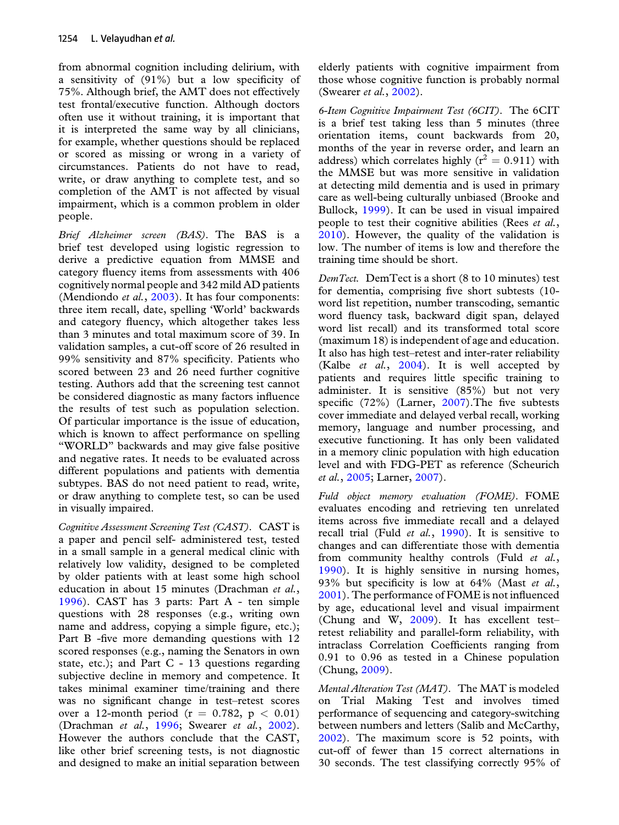from abnormal cognition including delirium, with a sensitivity of (91%) but a low specificity of 75%. Although brief, the AMT does not effectively test frontal/executive function. Although doctors often use it without training, it is important that it is interpreted the same way by all clinicians, for example, whether questions should be replaced or scored as missing or wrong in a variety of circumstances. Patients do not have to read, write, or draw anything to complete test, and so completion of the AMT is not affected by visual impairment, which is a common problem in older people.

*Brief Alzheimer screen (BAS).* The BAS is a brief test developed using logistic regression to derive a predictive equation from MMSE and category fluency items from assessments with 406 cognitively normal people and 342 mild AD patients (Mendiondo *et al.*, [2003\)](#page-13-0). It has four components: three item recall, date, spelling 'World' backwards and category fluency, which altogether takes less than 3 minutes and total maximum score of 39. In validation samples, a cut-off score of 26 resulted in 99% sensitivity and 87% specificity. Patients who scored between 23 and 26 need further cognitive testing. Authors add that the screening test cannot be considered diagnostic as many factors influence the results of test such as population selection. Of particular importance is the issue of education, which is known to affect performance on spelling "WORLD" backwards and may give false positive and negative rates. It needs to be evaluated across different populations and patients with dementia subtypes. BAS do not need patient to read, write, or draw anything to complete test, so can be used in visually impaired.

*Cognitive Assessment Screening Test (CAST).* CAST is a paper and pencil self- administered test, tested in a small sample in a general medical clinic with relatively low validity, designed to be completed by older patients with at least some high school education in about 15 minutes (Drachman *et al.*, [1996\)](#page-12-0). CAST has 3 parts: Part A - ten simple questions with 28 responses (e.g., writing own name and address, copying a simple figure, etc.); Part B -five more demanding questions with 12 scored responses (e.g., naming the Senators in own state, etc.); and Part  $C - 13$  questions regarding subjective decline in memory and competence. It takes minimal examiner time/training and there was no significant change in test–retest scores over a 12-month period ( $r = 0.782$ ,  $p < 0.01$ ) (Drachman *et al.*, [1996;](#page-12-0) Swearer *et al.*, [2002\)](#page-14-0). However the authors conclude that the CAST, like other brief screening tests, is not diagnostic and designed to make an initial separation between

elderly patients with cognitive impairment from those whose cognitive function is probably normal (Swearer *et al.*, [2002\)](#page-14-0).

*6-Item Cognitive Impairment Test (6CIT).* The 6CIT is a brief test taking less than 5 minutes (three orientation items, count backwards from 20, months of the year in reverse order, and learn an address) which correlates highly ( $r^2 = 0.911$ ) with the MMSE but was more sensitive in validation at detecting mild dementia and is used in primary care as well-being culturally unbiased (Brooke and Bullock, [1999\)](#page-11-0). It can be used in visual impaired people to test their cognitive abilities (Rees *et al.*, [2010\)](#page-13-0). However, the quality of the validation is low. The number of items is low and therefore the training time should be short.

*DemTect.* DemTect is a short (8 to 10 minutes) test for dementia, comprising five short subtests (10 word list repetition, number transcoding, semantic word fluency task, backward digit span, delayed word list recall) and its transformed total score (maximum 18) is independent of age and education. It also has high test–retest and inter-rater reliability (Kalbe *et al.*, [2004\)](#page-12-0). It is well accepted by patients and requires little specific training to administer. It is sensitive (85%) but not very specific (72%) (Larner, [2007\)](#page-12-0).The five subtests cover immediate and delayed verbal recall, working memory, language and number processing, and executive functioning. It has only been validated in a memory clinic population with high education level and with FDG-PET as reference (Scheurich *et al.*, [2005;](#page-13-0) Larner, [2007\)](#page-12-0).

*Fuld object memory evaluation (FOME).* FOME evaluates encoding and retrieving ten unrelated items across five immediate recall and a delayed recall trial (Fuld *et al.*, [1990\)](#page-12-0). It is sensitive to changes and can differentiate those with dementia from community healthy controls (Fuld *et al.*, [1990\)](#page-12-0). It is highly sensitive in nursing homes, 93% but specificity is low at 64% (Mast *et al.*, [2001\)](#page-13-0). The performance of FOME is not influenced by age, educational level and visual impairment (Chung and W, [2009\)](#page-12-0). It has excellent test– retest reliability and parallel-form reliability, with intraclass Correlation Coefficients ranging from 0.91 to 0.96 as tested in a Chinese population (Chung, [2009\)](#page-11-0).

*Mental Alteration Test (MAT).* The MAT is modeled on Trial Making Test and involves timed performance of sequencing and category-switching between numbers and letters (Salib and McCarthy, [2002\)](#page-13-0). The maximum score is 52 points, with cut-off of fewer than 15 correct alternations in 30 seconds. The test classifying correctly 95% of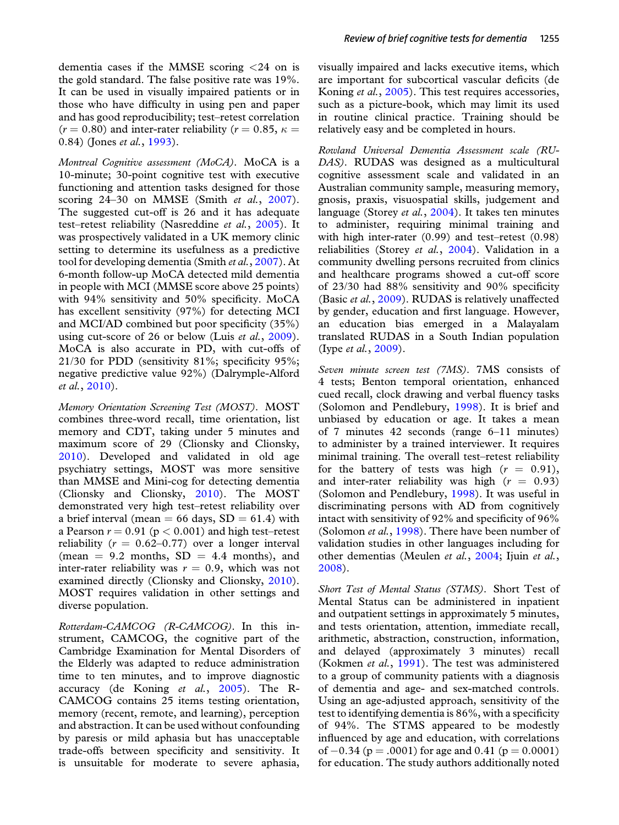dementia cases if the MMSE scoring <24 on is the gold standard. The false positive rate was 19%. It can be used in visually impaired patients or in those who have difficulty in using pen and paper and has good reproducibility; test–retest correlation  $(r = 0.80)$  and inter-rater reliability  $(r = 0.85, \kappa = 0.85)$ 0.84) (Jones *et al.*, [1993\)](#page-12-0).

*Montreal Cognitive assessment (MoCA).* MoCA is a 10-minute; 30-point cognitive test with executive functioning and attention tasks designed for those scoring 24–30 on MMSE (Smith *et al.*, [2007\)](#page-13-0). The suggested cut-off is 26 and it has adequate test–retest reliability (Nasreddine *et al.*, [2005\)](#page-13-0). It was prospectively validated in a UK memory clinic setting to determine its usefulness as a predictive tool for developing dementia (Smith *et al.*, [2007\)](#page-13-0). At 6-month follow-up MoCA detected mild dementia in people with MCI (MMSE score above 25 points) with 94% sensitivity and 50% specificity. MoCA has excellent sensitivity (97%) for detecting MCI and MCI/AD combined but poor specificity (35%) using cut-score of 26 or below (Luis *et al.*, [2009\)](#page-13-0). MoCA is also accurate in PD, with cut-offs of 21/30 for PDD (sensitivity 81%; specificity 95%; negative predictive value 92%) (Dalrymple-Alford *et al.*, [2010\)](#page-12-0).

*Memory Orientation Screening Test (MOST).* MOST combines three-word recall, time orientation, list memory and CDT, taking under 5 minutes and maximum score of 29 (Clionsky and Clionsky, [2010\)](#page-12-0). Developed and validated in old age psychiatry settings, MOST was more sensitive than MMSE and Mini-cog for detecting dementia (Clionsky and Clionsky, [2010\)](#page-12-0). The MOST demonstrated very high test–retest reliability over a brief interval (mean = 66 days,  $SD = 61.4$ ) with a Pearson  $r = 0.91$  ( $p < 0.001$ ) and high test–retest reliability  $(r = 0.62{\text -}0.77)$  over a longer interval (mean  $= 9.2$  months,  $SD = 4.4$  months), and inter-rater reliability was  $r = 0.9$ , which was not examined directly (Clionsky and Clionsky, [2010\)](#page-12-0). MOST requires validation in other settings and diverse population.

*Rotterdam-CAMCOG (R-CAMCOG).* In this instrument, CAMCOG, the cognitive part of the Cambridge Examination for Mental Disorders of the Elderly was adapted to reduce administration time to ten minutes, and to improve diagnostic accuracy (de Koning *et al.*, [2005\)](#page-12-0). The R-CAMCOG contains 25 items testing orientation, memory (recent, remote, and learning), perception and abstraction. It can be used without confounding by paresis or mild aphasia but has unacceptable trade-offs between specificity and sensitivity. It is unsuitable for moderate to severe aphasia,

visually impaired and lacks executive items, which are important for subcortical vascular deficits (de Koning *et al.*, [2005\)](#page-12-0). This test requires accessories, such as a picture-book, which may limit its used in routine clinical practice. Training should be relatively easy and be completed in hours.

*Rowland Universal Dementia Assessment scale (RU-DAS).* RUDAS was designed as a multicultural cognitive assessment scale and validated in an Australian community sample, measuring memory, gnosis, praxis, visuospatial skills, judgement and language (Storey *et al.*, [2004\)](#page-14-0). It takes ten minutes to administer, requiring minimal training and with high inter-rater (0.99) and test–retest (0.98) reliabilities (Storey *et al.*, [2004\)](#page-14-0). Validation in a community dwelling persons recruited from clinics and healthcare programs showed a cut-off score of 23/30 had 88% sensitivity and 90% specificity (Basic *et al.*, [2009\)](#page-11-0). RUDAS is relatively unaffected by gender, education and first language. However, an education bias emerged in a Malayalam translated RUDAS in a South Indian population (Iype *et al.*, [2009\)](#page-12-0).

*Seven minute screen test (7MS).* 7MS consists of 4 tests; Benton temporal orientation, enhanced cued recall, clock drawing and verbal fluency tasks (Solomon and Pendlebury, [1998\)](#page-14-0). It is brief and unbiased by education or age. It takes a mean of 7 minutes 42 seconds (range 6–11 minutes) to administer by a trained interviewer. It requires minimal training. The overall test–retest reliability for the battery of tests was high  $(r = 0.91)$ , and inter-rater reliability was high  $(r = 0.93)$ (Solomon and Pendlebury, [1998\)](#page-14-0). It was useful in discriminating persons with AD from cognitively intact with sensitivity of 92% and specificity of 96% (Solomon *et al.*, [1998\)](#page-14-0). There have been number of validation studies in other languages including for other dementias (Meulen *et al.*, [2004;](#page-13-0) Ijuin *et al.*, [2008\)](#page-12-0).

*Short Test of Mental Status (STMS).* Short Test of Mental Status can be administered in inpatient and outpatient settings in approximately 5 minutes, and tests orientation, attention, immediate recall, arithmetic, abstraction, construction, information, and delayed (approximately 3 minutes) recall (Kokmen *et al.*, [1991\)](#page-12-0). The test was administered to a group of community patients with a diagnosis of dementia and age- and sex-matched controls. Using an age-adjusted approach, sensitivity of the test to identifying dementia is 86%, with a specificity of 94%. The STMS appeared to be modestly influenced by age and education, with correlations of  $-0.34$  (p = .0001) for age and 0.41 (p = 0.0001) for education. The study authors additionally noted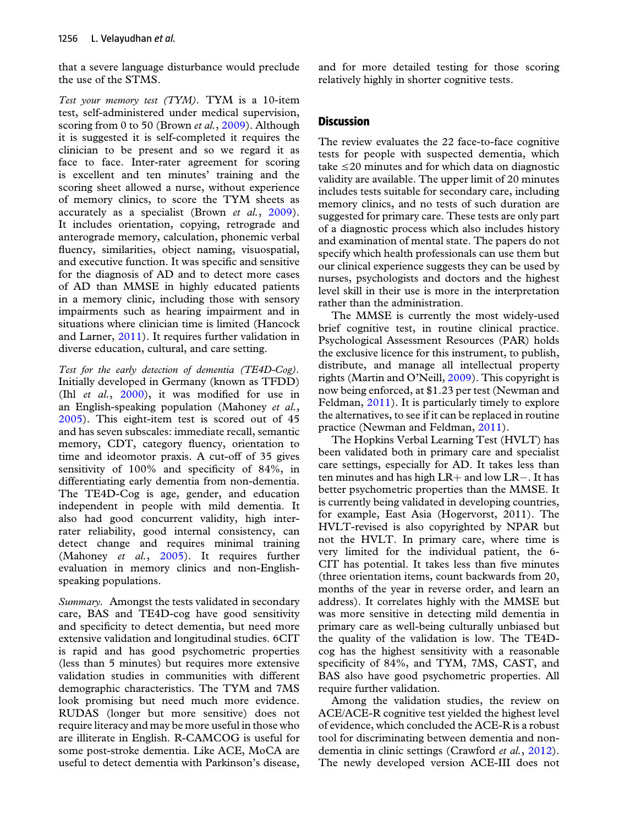that a severe language disturbance would preclude the use of the STMS.

*Test your memory test (TYM).* TYM is a 10-item test, self-administered under medical supervision, scoring from 0 to 50 (Brown *et al.*, [2009\)](#page-11-0). Although it is suggested it is self-completed it requires the clinician to be present and so we regard it as face to face. Inter-rater agreement for scoring is excellent and ten minutes' training and the scoring sheet allowed a nurse, without experience of memory clinics, to score the TYM sheets as accurately as a specialist (Brown *et al.*, [2009\)](#page-11-0). It includes orientation, copying, retrograde and anterograde memory, calculation, phonemic verbal fluency, similarities, object naming, visuospatial, and executive function. It was specific and sensitive for the diagnosis of AD and to detect more cases of AD than MMSE in highly educated patients in a memory clinic, including those with sensory impairments such as hearing impairment and in situations where clinician time is limited (Hancock and Larner, [2011\)](#page-12-0). It requires further validation in diverse education, cultural, and care setting.

*Test for the early detection of dementia (TE4D-Cog).* Initially developed in Germany (known as TFDD) (Ihl *et al.*, [2000\)](#page-12-0), it was modified for use in an English-speaking population (Mahoney *et al.*, [2005\)](#page-13-0). This eight-item test is scored out of 45 and has seven subscales: immediate recall, semantic memory, CDT, category fluency, orientation to time and ideomotor praxis. A cut-off of 35 gives sensitivity of 100% and specificity of 84%, in differentiating early dementia from non-dementia. The TE4D-Cog is age, gender, and education independent in people with mild dementia. It also had good concurrent validity, high interrater reliability, good internal consistency, can detect change and requires minimal training (Mahoney *et al.*, [2005\)](#page-13-0). It requires further evaluation in memory clinics and non-Englishspeaking populations.

*Summary.* Amongst the tests validated in secondary care, BAS and TE4D-cog have good sensitivity and specificity to detect dementia, but need more extensive validation and longitudinal studies. 6CIT is rapid and has good psychometric properties (less than 5 minutes) but requires more extensive validation studies in communities with different demographic characteristics. The TYM and 7MS look promising but need much more evidence. RUDAS (longer but more sensitive) does not require literacy and may be more useful in those who are illiterate in English. R-CAMCOG is useful for some post-stroke dementia. Like ACE, MoCA are useful to detect dementia with Parkinson's disease,

and for more detailed testing for those scoring relatively highly in shorter cognitive tests.

## **Discussion**

The review evaluates the 22 face-to-face cognitive tests for people with suspected dementia, which take  $\leq$  20 minutes and for which data on diagnostic validity are available. The upper limit of 20 minutes includes tests suitable for secondary care, including memory clinics, and no tests of such duration are suggested for primary care. These tests are only part of a diagnostic process which also includes history and examination of mental state. The papers do not specify which health professionals can use them but our clinical experience suggests they can be used by nurses, psychologists and doctors and the highest level skill in their use is more in the interpretation rather than the administration.

The MMSE is currently the most widely-used brief cognitive test, in routine clinical practice. Psychological Assessment Resources (PAR) holds the exclusive licence for this instrument, to publish, distribute, and manage all intellectual property rights (Martin and O'Neill, [2009\)](#page-13-0). This copyright is now being enforced, at \$1.23 per test (Newman and Feldman, [2011\)](#page-13-0). It is particularly timely to explore the alternatives, to see if it can be replaced in routine practice (Newman and Feldman, [2011\)](#page-13-0).

The Hopkins Verbal Learning Test (HVLT) has been validated both in primary care and specialist care settings, especially for AD. It takes less than ten minutes and has high LR+ and low LR−. It has better psychometric properties than the MMSE. It is currently being validated in developing countries, for example, East Asia (Hogervorst, 2011). The HVLT-revised is also copyrighted by NPAR but not the HVLT. In primary care, where time is very limited for the individual patient, the 6- CIT has potential. It takes less than five minutes (three orientation items, count backwards from 20, months of the year in reverse order, and learn an address). It correlates highly with the MMSE but was more sensitive in detecting mild dementia in primary care as well-being culturally unbiased but the quality of the validation is low. The TE4Dcog has the highest sensitivity with a reasonable specificity of 84%, and TYM, 7MS, CAST, and BAS also have good psychometric properties. All require further validation.

Among the validation studies, the review on ACE/ACE-R cognitive test yielded the highest level of evidence, which concluded the ACE-R is a robust tool for discriminating between dementia and nondementia in clinic settings (Crawford *et al.*, [2012\)](#page-12-0). The newly developed version ACE-III does not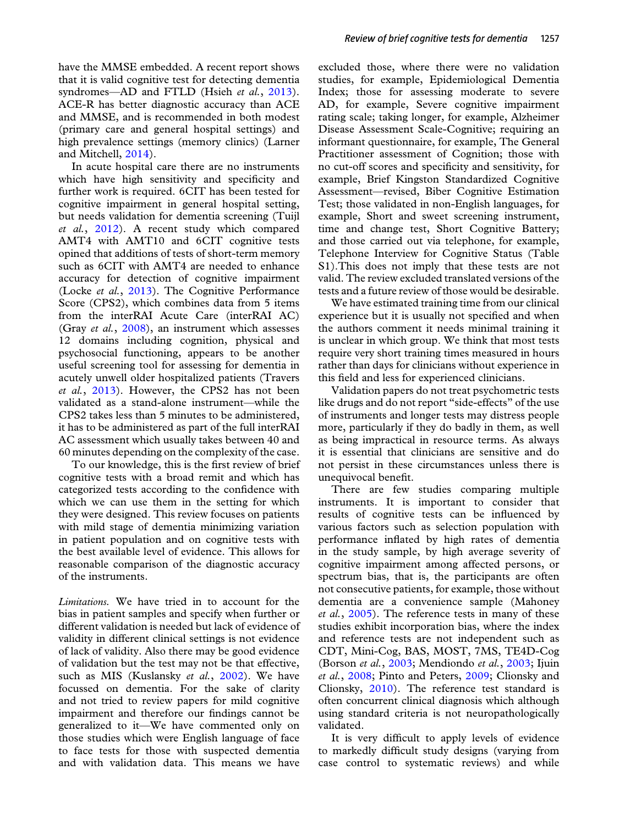In acute hospital care there are no instruments which have high sensitivity and specificity and further work is required. 6CIT has been tested for cognitive impairment in general hospital setting, but needs validation for dementia screening (Tuijl *et al.*, [2012\)](#page-14-0). A recent study which compared AMT4 with AMT10 and 6CIT cognitive tests opined that additions of tests of short-term memory such as 6CIT with AMT4 are needed to enhance accuracy for detection of cognitive impairment (Locke *et al.*, [2013\)](#page-12-0). The Cognitive Performance Score (CPS2), which combines data from 5 items from the interRAI Acute Care (interRAI AC) (Gray *et al.*, [2008\)](#page-12-0), an instrument which assesses 12 domains including cognition, physical and psychosocial functioning, appears to be another useful screening tool for assessing for dementia in acutely unwell older hospitalized patients (Travers *et al.*, [2013\)](#page-14-0). However, the CPS2 has not been validated as a stand-alone instrument—while the CPS2 takes less than 5 minutes to be administered, it has to be administered as part of the full interRAI AC assessment which usually takes between 40 and 60 minutes depending on the complexity of the case.

To our knowledge, this is the first review of brief cognitive tests with a broad remit and which has categorized tests according to the confidence with which we can use them in the setting for which they were designed. This review focuses on patients with mild stage of dementia minimizing variation in patient population and on cognitive tests with the best available level of evidence. This allows for reasonable comparison of the diagnostic accuracy of the instruments.

*Limitations.* We have tried in to account for the bias in patient samples and specify when further or different validation is needed but lack of evidence of validity in different clinical settings is not evidence of lack of validity. Also there may be good evidence of validation but the test may not be that effective, such as MIS (Kuslansky *et al.*, [2002\)](#page-12-0). We have focussed on dementia. For the sake of clarity and not tried to review papers for mild cognitive impairment and therefore our findings cannot be generalized to it—We have commented only on those studies which were English language of face to face tests for those with suspected dementia and with validation data. This means we have

excluded those, where there were no validation studies, for example, Epidemiological Dementia Index; those for assessing moderate to severe AD, for example, Severe cognitive impairment rating scale; taking longer, for example, Alzheimer Disease Assessment Scale-Cognitive; requiring an informant questionnaire, for example, The General Practitioner assessment of Cognition; those with no cut-off scores and specificity and sensitivity, for example, Brief Kingston Standardized Cognitive Assessment—revised, Biber Cognitive Estimation Test; those validated in non-English languages, for example, Short and sweet screening instrument, time and change test, Short Cognitive Battery; and those carried out via telephone, for example, Telephone Interview for Cognitive Status (Table S1).This does not imply that these tests are not valid. The review excluded translated versions of the tests and a future review of those would be desirable.

We have estimated training time from our clinical experience but it is usually not specified and when the authors comment it needs minimal training it is unclear in which group. We think that most tests require very short training times measured in hours rather than days for clinicians without experience in this field and less for experienced clinicians.

Validation papers do not treat psychometric tests like drugs and do not report "side-effects" of the use of instruments and longer tests may distress people more, particularly if they do badly in them, as well as being impractical in resource terms. As always it is essential that clinicians are sensitive and do not persist in these circumstances unless there is unequivocal benefit.

There are few studies comparing multiple instruments. It is important to consider that results of cognitive tests can be influenced by various factors such as selection population with performance inflated by high rates of dementia in the study sample, by high average severity of cognitive impairment among affected persons, or spectrum bias, that is, the participants are often not consecutive patients, for example, those without dementia are a convenience sample (Mahoney *et al.*, [2005\)](#page-13-0). The reference tests in many of these studies exhibit incorporation bias, where the index and reference tests are not independent such as CDT, Mini-Cog, BAS, MOST, 7MS, TE4D-Cog (Borson *et al.*, [2003;](#page-11-0) Mendiondo *et al.*, [2003;](#page-13-0) Ijuin *et al.*, [2008;](#page-12-0) Pinto and Peters, [2009;](#page-13-0) Clionsky and Clionsky, [2010\)](#page-12-0). The reference test standard is often concurrent clinical diagnosis which although using standard criteria is not neuropathologically validated.

It is very difficult to apply levels of evidence to markedly difficult study designs (varying from case control to systematic reviews) and while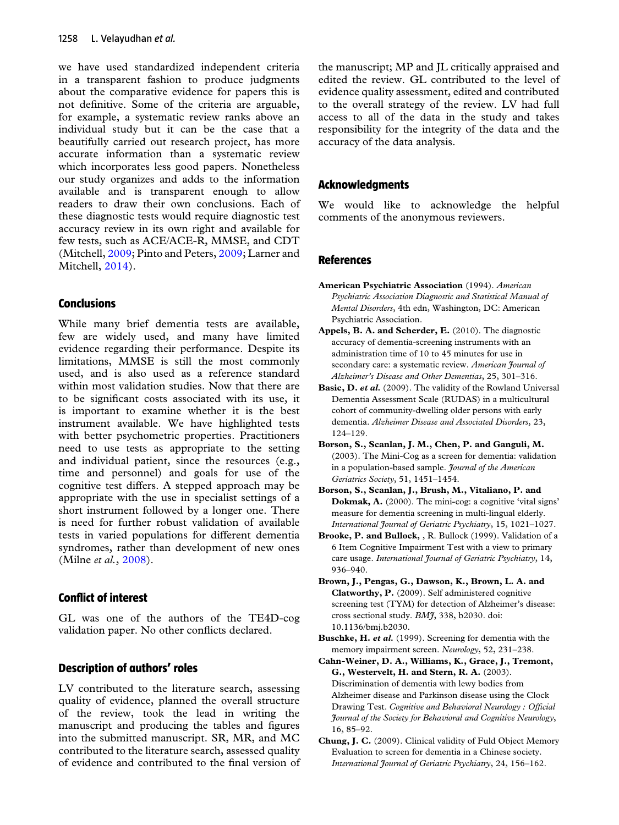<span id="page-11-0"></span>we have used standardized independent criteria in a transparent fashion to produce judgments about the comparative evidence for papers this is not definitive. Some of the criteria are arguable, for example, a systematic review ranks above an individual study but it can be the case that a beautifully carried out research project, has more accurate information than a systematic review which incorporates less good papers. Nonetheless our study organizes and adds to the information available and is transparent enough to allow readers to draw their own conclusions. Each of these diagnostic tests would require diagnostic test accuracy review in its own right and available for few tests, such as ACE/ACE-R, MMSE, and CDT (Mitchell, [2009;](#page-13-0) Pinto and Peters, [2009;](#page-13-0) Larner and Mitchell, [2014\)](#page-12-0).

# **Conclusions**

While many brief dementia tests are available, few are widely used, and many have limited evidence regarding their performance. Despite its limitations, MMSE is still the most commonly used, and is also used as a reference standard within most validation studies. Now that there are to be significant costs associated with its use, it is important to examine whether it is the best instrument available. We have highlighted tests with better psychometric properties. Practitioners need to use tests as appropriate to the setting and individual patient, since the resources (e.g., time and personnel) and goals for use of the cognitive test differs. A stepped approach may be appropriate with the use in specialist settings of a short instrument followed by a longer one. There is need for further robust validation of available tests in varied populations for different dementia syndromes, rather than development of new ones (Milne *et al.*, [2008\)](#page-13-0).

# **Conflict of interest**

GL was one of the authors of the TE4D-cog validation paper. No other conflicts declared.

# **Description of authors' roles**

LV contributed to the literature search, assessing quality of evidence, planned the overall structure of the review, took the lead in writing the manuscript and producing the tables and figures into the submitted manuscript. SR, MR, and MC contributed to the literature search, assessed quality of evidence and contributed to the final version of the manuscript; MP and JL critically appraised and edited the review. GL contributed to the level of evidence quality assessment, edited and contributed to the overall strategy of the review. LV had full access to all of the data in the study and takes responsibility for the integrity of the data and the accuracy of the data analysis.

## **Acknowledgments**

We would like to acknowledge the helpful comments of the anonymous reviewers.

## **References**

- **American Psychiatric Association** (1994). *American Psychiatric Association Diagnostic and Statistical Manual of Mental Disorders*, 4th edn, Washington, DC: American Psychiatric Association.
- **Appels, B. A. and Scherder, E.** (2010). The diagnostic accuracy of dementia-screening instruments with an administration time of 10 to 45 minutes for use in secondary care: a systematic review. *American Journal of Alzheimer's Disease and Other Dementias*, 25, 301–316.
- **Basic, D.** *et al.* (2009). The validity of the Rowland Universal Dementia Assessment Scale (RUDAS) in a multicultural cohort of community-dwelling older persons with early dementia. *Alzheimer Disease and Associated Disorders*, 23, 124–129.
- **Borson, S., Scanlan, J. M., Chen, P. and Ganguli, M.** (2003). The Mini-Cog as a screen for dementia: validation in a population-based sample. *Journal of the American Geriatrics Society*, 51, 1451–1454.
- **Borson, S., Scanlan, J., Brush, M., Vitaliano, P. and Dokmak, A.** (2000). The mini-cog: a cognitive 'vital signs' measure for dementia screening in multi-lingual elderly. *International Journal of Geriatric Psychiatry*, 15, 1021–1027.
- **Brooke, P. and Bullock,** , R. Bullock (1999). Validation of a 6 Item Cognitive Impairment Test with a view to primary care usage. *International Journal of Geriatric Psychiatry*, 14, 936–940.
- **Brown, J., Pengas, G., Dawson, K., Brown, L. A. and Clatworthy, P.** (2009). Self administered cognitive screening test (TYM) for detection of Alzheimer's disease: cross sectional study. *BMJ*, 338, b2030. doi: 10.1136/bmj.b2030.
- **Buschke, H.** *et al.* (1999). Screening for dementia with the memory impairment screen. *Neurology*, 52, 231–238.
- **Cahn-Weiner, D. A., Williams, K., Grace, J., Tremont, G., Westervelt, H. and Stern, R. A.** (2003). Discrimination of dementia with lewy bodies from Alzheimer disease and Parkinson disease using the Clock Drawing Test. *Cognitive and Behavioral Neurology : Official Journal of the Society for Behavioral and Cognitive Neurology*, 16, 85–92.
- **Chung, J. C.** (2009). Clinical validity of Fuld Object Memory Evaluation to screen for dementia in a Chinese society. *International Journal of Geriatric Psychiatry*, 24, 156–162.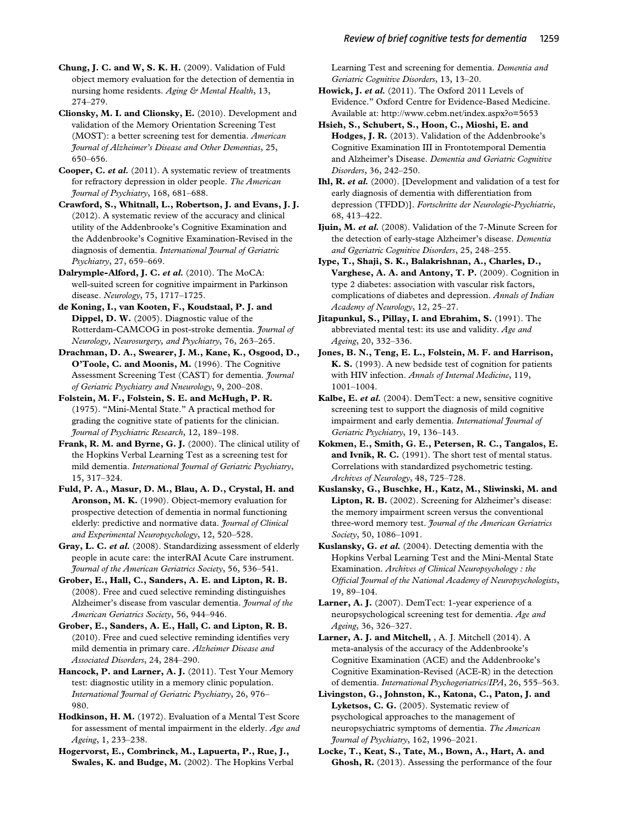<span id="page-12-0"></span>**Chung, J. C. and W, S. K. H.** (2009). Validation of Fuld object memory evaluation for the detection of dementia in nursing home residents. *Aging & Mental Health*, 13, 274–279.

**Clionsky, M. I. and Clionsky, E.** (2010). Development and validation of the Memory Orientation Screening Test (MOST): a better screening test for dementia. *American Journal of Alzheimer's Disease and Other Dementias*, 25, 650–656.

**Cooper, C.** *et al.* (2011). A systematic review of treatments for refractory depression in older people. *The American Journal of Psychiatry*, 168, 681–688.

**Crawford, S., Whitnall, L., Robertson, J. and Evans, J. J.** (2012). A systematic review of the accuracy and clinical utility of the Addenbrooke's Cognitive Examination and the Addenbrooke's Cognitive Examination-Revised in the diagnosis of dementia. *International Journal of Geriatric Psychiatry*, 27, 659–669.

**Dalrymple-Alford, J. C.** *et al.* (2010). The MoCA: well-suited screen for cognitive impairment in Parkinson disease. *Neurology*, 75, 1717–1725.

**de Koning, I., van Kooten, F., Koudstaal, P. J. and Dippel, D. W.** (2005). Diagnostic value of the Rotterdam-CAMCOG in post-stroke dementia. *Journal of Neurology, Neurosurgery, and Psychiatry*, 76, 263–265.

**Drachman, D. A., Swearer, J. M., Kane, K., Osgood, D., O'Toole, C. and Moonis, M.** (1996). The Cognitive Assessment Screening Test (CAST) for dementia. *Journal of Geriatric Psychiatry and Nneurology*, 9, 200–208.

**Folstein, M. F., Folstein, S. E. and McHugh, P. R.** (1975). "Mini-Mental State." A practical method for grading the cognitive state of patients for the clinician. *Journal of Psychiatric Research*, 12, 189–198.

**Frank, R. M. and Byrne, G. J.** (2000). The clinical utility of the Hopkins Verbal Learning Test as a screening test for mild dementia. *International Journal of Geriatric Psychiatry*, 15, 317–324.

**Fuld, P. A., Masur, D. M., Blau, A. D., Crystal, H. and Aronson, M. K.** (1990). Object-memory evaluation for prospective detection of dementia in normal functioning elderly: predictive and normative data. *Journal of Clinical and Experimental Neuropsychology*, 12, 520–528.

**Gray, L. C.** *et al.* (2008). Standardizing assessment of elderly people in acute care: the interRAI Acute Care instrument. *Journal of the American Geriatrics Society*, 56, 536–541.

**Grober, E., Hall, C., Sanders, A. E. and Lipton, R. B.** (2008). Free and cued selective reminding distinguishes Alzheimer's disease from vascular dementia. *Journal of the American Geriatrics Society*, 56, 944–946.

**Grober, E., Sanders, A. E., Hall, C. and Lipton, R. B.** (2010). Free and cued selective reminding identifies very mild dementia in primary care. *Alzheimer Disease and Associated Disorders*, 24, 284–290.

**Hancock, P. and Larner, A. J.** (2011). Test Your Memory test: diagnostic utility in a memory clinic population. *International Journal of Geriatric Psychiatry*, 26, 976– 980.

**Hodkinson, H. M.** (1972). Evaluation of a Mental Test Score for assessment of mental impairment in the elderly. *Age and Ageing*, 1, 233–238.

**Hogervorst, E., Combrinck, M., Lapuerta, P., Rue, J., Swales, K. and Budge, M.** (2002). The Hopkins Verbal Learning Test and screening for dementia. *Dementia and Geriatric Cognitive Disorders*, 13, 13–20.

- **Howick, J.** *et al.* (2011). The Oxford 2011 Levels of Evidence." Oxford Centre for Evidence-Based Medicine. Available at: http://www.cebm.net/index.aspx?o=5653
- **Hsieh, S., Schubert, S., Hoon, C., Mioshi, E. and Hodges, J. R.** (2013). Validation of the Addenbrooke's Cognitive Examination III in Frontotemporal Dementia and Alzheimer's Disease. *Dementia and Geriatric Cognitive Disorders*, 36, 242–250.

**Ihl, R.** *et al.* (2000). [Development and validation of a test for early diagnosis of dementia with differentiation from depression (TFDD)]. *Fortschritte der Neurologie-Psychiatrie*, 68, 413–422.

**Ijuin, M.** *et al.* (2008). Validation of the 7-Minute Screen for the detection of early-stage Alzheimer's disease. *Dementia and Ggeriatric Cognitive Disorders*, 25, 248–255.

**Iype, T., Shaji, S. K., Balakrishnan, A., Charles, D., Varghese, A. A. and Antony, T. P.** (2009). Cognition in type 2 diabetes: association with vascular risk factors, complications of diabetes and depression. *Annals of Indian Academy of Neurology*, 12, 25–27.

**Jitapunkul, S., Pillay, I. and Ebrahim, S.** (1991). The abbreviated mental test: its use and validity. *Age and Ageing*, 20, 332–336.

**Jones, B. N., Teng, E. L., Folstein, M. F. and Harrison, K. S.** (1993). A new bedside test of cognition for patients with HIV infection. *Annals of Internal Medicine*, 119, 1001–1004.

**Kalbe, E.** *et al.* (2004). DemTect: a new, sensitive cognitive screening test to support the diagnosis of mild cognitive impairment and early dementia. *International Journal of Geriatric Psychiatry*, 19, 136–143.

**Kokmen, E., Smith, G. E., Petersen, R. C., Tangalos, E. and Ivnik, R. C.** (1991). The short test of mental status. Correlations with standardized psychometric testing. *Archives of Neurology*, 48, 725–728.

**Kuslansky, G., Buschke, H., Katz, M., Sliwinski, M. and Lipton, R. B.** (2002). Screening for Alzheimer's disease: the memory impairment screen versus the conventional three-word memory test. *Journal of the American Geriatrics Society*, 50, 1086–1091.

**Kuslansky, G.** *et al.* (2004). Detecting dementia with the Hopkins Verbal Learning Test and the Mini-Mental State Examination. *Archives of Clinical Neuropsychology : the Official Journal of the National Academy of Neuropsychologists*, 19, 89–104.

Larner, A. J. (2007). DemTect: 1-year experience of a neuropsychological screening test for dementia. *Age and Ageing*, 36, 326–327.

**Larner, A. J. and Mitchell,** , A. J. Mitchell (2014). A meta-analysis of the accuracy of the Addenbrooke's Cognitive Examination (ACE) and the Addenbrooke's Cognitive Examination-Revised (ACE-R) in the detection of dementia. *International Psychogeriatrics/IPA*, 26, 555–563.

**Livingston, G., Johnston, K., Katona, C., Paton, J. and Lyketsos, C. G.** (2005). Systematic review of psychological approaches to the management of neuropsychiatric symptoms of dementia. *The American Journal of Psychiatry*, 162, 1996–2021.

**Locke, T., Keat, S., Tate, M., Bown, A., Hart, A. and Ghosh, R.** (2013). Assessing the performance of the four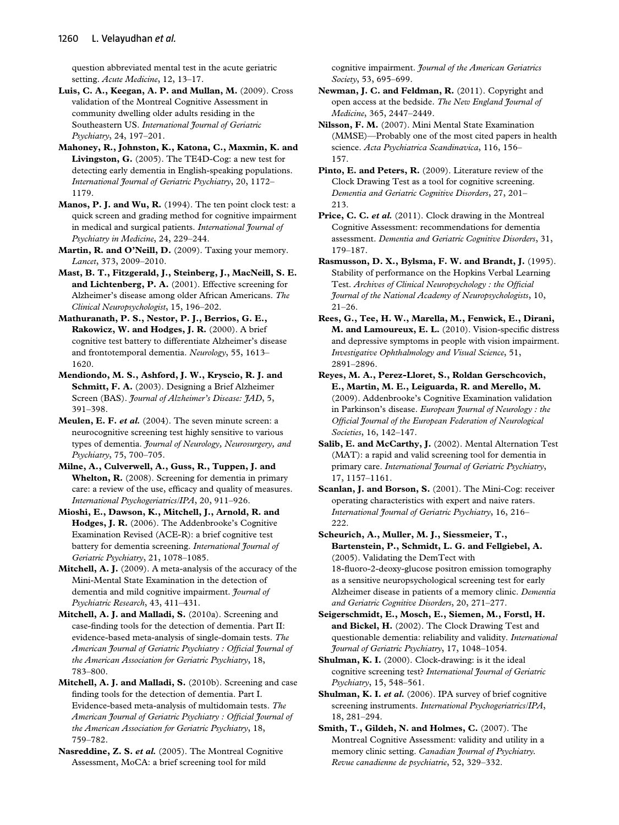<span id="page-13-0"></span>question abbreviated mental test in the acute geriatric setting. *Acute Medicine*, 12, 13–17.

**Luis, C. A., Keegan, A. P. and Mullan, M.** (2009). Cross validation of the Montreal Cognitive Assessment in community dwelling older adults residing in the Southeastern US. *International Journal of Geriatric Psychiatry*, 24, 197–201.

**Mahoney, R., Johnston, K., Katona, C., Maxmin, K. and Livingston, G.** (2005). The TE4D-Cog: a new test for detecting early dementia in English-speaking populations. *International Journal of Geriatric Psychiatry*, 20, 1172– 1179.

**Manos, P. J. and Wu, R.** (1994). The ten point clock test: a quick screen and grading method for cognitive impairment in medical and surgical patients. *International Journal of Psychiatry in Medicine*, 24, 229–244.

Martin, R. and O'Neill, D. (2009). Taxing your memory. *Lancet*, 373, 2009–2010.

**Mast, B. T., Fitzgerald, J., Steinberg, J., MacNeill, S. E. and Lichtenberg, P. A.** (2001). Effective screening for Alzheimer's disease among older African Americans. *The Clinical Neuropsychologist*, 15, 196–202.

**Mathuranath, P. S., Nestor, P. J., Berrios, G. E., Rakowicz, W. and Hodges, J. R.** (2000). A brief cognitive test battery to differentiate Alzheimer's disease and frontotemporal dementia. *Neurology*, 55, 1613– 1620.

**Mendiondo, M. S., Ashford, J. W., Kryscio, R. J. and Schmitt, F. A.** (2003). Designing a Brief Alzheimer Screen (BAS). *Journal of Alzheimer's Disease: JAD*, 5, 391–398.

**Meulen, E. F.** *et al.* (2004). The seven minute screen: a neurocognitive screening test highly sensitive to various types of dementia. *Journal of Neurology, Neurosurgery, and Psychiatry*, 75, 700–705.

**Milne, A., Culverwell, A., Guss, R., Tuppen, J. and Whelton, R.** (2008). Screening for dementia in primary care: a review of the use, efficacy and quality of measures. *International Psychogeriatrics/IPA*, 20, 911–926.

**Mioshi, E., Dawson, K., Mitchell, J., Arnold, R. and Hodges, J. R.** (2006). The Addenbrooke's Cognitive Examination Revised (ACE-R): a brief cognitive test battery for dementia screening. *International Journal of Geriatric Psychiatry*, 21, 1078–1085.

**Mitchell, A. J.** (2009). A meta-analysis of the accuracy of the Mini-Mental State Examination in the detection of dementia and mild cognitive impairment. *Journal of Psychiatric Research*, 43, 411–431.

**Mitchell, A. J. and Malladi, S.** (2010a). Screening and case-finding tools for the detection of dementia. Part II: evidence-based meta-analysis of single-domain tests. *The American Journal of Geriatric Psychiatry : Official Journal of the American Association for Geriatric Psychiatry*, 18, 783–800.

**Mitchell, A. J. and Malladi, S.** (2010b). Screening and case finding tools for the detection of dementia. Part I. Evidence-based meta-analysis of multidomain tests. *The American Journal of Geriatric Psychiatry : Official Journal of the American Association for Geriatric Psychiatry*, 18, 759–782.

**Nasreddine, Z. S.** *et al.* (2005). The Montreal Cognitive Assessment, MoCA: a brief screening tool for mild

cognitive impairment. *Journal of the American Geriatrics Society*, 53, 695–699.

**Newman, J. C. and Feldman, R.** (2011). Copyright and open access at the bedside. *The New England Journal of Medicine*, 365, 2447–2449.

**Nilsson, F. M.** (2007). Mini Mental State Examination (MMSE)—Probably one of the most cited papers in health science. *Acta Psychiatrica Scandinavica*, 116, 156– 157.

Pinto, E. and Peters, R. (2009). Literature review of the Clock Drawing Test as a tool for cognitive screening. *Dementia and Geriatric Cognitive Disorders*, 27, 201– 213.

Price, C. C. *et al.* (2011). Clock drawing in the Montreal Cognitive Assessment: recommendations for dementia assessment. *Dementia and Geriatric Cognitive Disorders*, 31, 179–187.

**Rasmusson, D. X., Bylsma, F. W. and Brandt, J.** (1995). Stability of performance on the Hopkins Verbal Learning Test. *Archives of Clinical Neuropsychology : the Official Journal of the National Academy of Neuropsychologists*, 10, 21–26.

**Rees, G., Tee, H. W., Marella, M., Fenwick, E., Dirani, M. and Lamoureux, E. L.** (2010). Vision-specific distress and depressive symptoms in people with vision impairment. *Investigative Ophthalmology and Visual Science*, 51, 2891–2896.

**Reyes, M. A., Perez-Lloret, S., Roldan Gerschcovich, E., Martin, M. E., Leiguarda, R. and Merello, M.** (2009). Addenbrooke's Cognitive Examination validation in Parkinson's disease. *European Journal of Neurology : the Official Journal of the European Federation of Neurological Societies*, 16, 142–147.

**Salib, E. and McCarthy, J.** (2002). Mental Alternation Test (MAT): a rapid and valid screening tool for dementia in primary care. *International Journal of Geriatric Psychiatry*, 17, 1157–1161.

**Scanlan, J. and Borson, S.** (2001). The Mini-Cog: receiver operating characteristics with expert and naive raters. *International Journal of Geriatric Psychiatry*, 16, 216– 222.

**Scheurich, A., Muller, M. J., Siessmeier, T., Bartenstein, P., Schmidt, L. G. and Fellgiebel, A.** (2005). Validating the DemTect with 18-fluoro-2-deoxy-glucose positron emission tomography as a sensitive neuropsychological screening test for early Alzheimer disease in patients of a memory clinic. *Dementia and Geriatric Cognitive Disorders*, 20, 271–277.

**Seigerschmidt, E., Mosch, E., Siemen, M., Forstl, H. and Bickel, H.** (2002). The Clock Drawing Test and questionable dementia: reliability and validity. *International Journal of Geriatric Psychiatry*, 17, 1048–1054.

**Shulman, K. I.** (2000). Clock-drawing: is it the ideal cognitive screening test? *International Journal of Geriatric Psychiatry*, 15, 548–561.

**Shulman, K. I.** *et al.* (2006). IPA survey of brief cognitive screening instruments. *International Psychogeriatrics/IPA*, 18, 281–294.

**Smith, T., Gildeh, N. and Holmes, C.** (2007). The Montreal Cognitive Assessment: validity and utility in a memory clinic setting. *Canadian Journal of Psychiatry. Revue canadienne de psychiatrie*, 52, 329–332.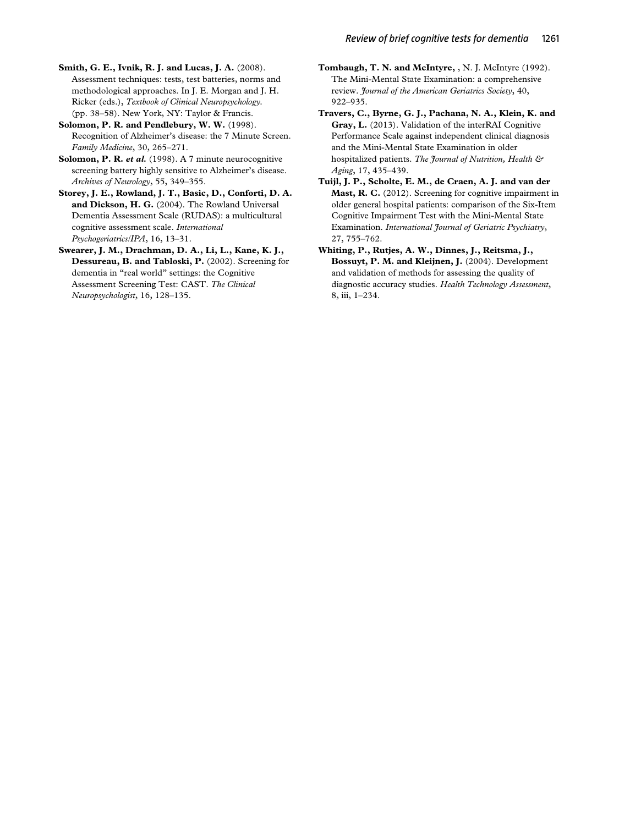<span id="page-14-0"></span>**Smith, G. E., Ivnik, R. J. and Lucas, J. A.** (2008). Assessment techniques: tests, test batteries, norms and methodological approaches. In J. E. Morgan and J. H. Ricker (eds.), *Textbook of Clinical Neuropsychology.* (pp. 38–58). New York, NY: Taylor & Francis.

**Solomon, P. R. and Pendlebury, W. W.** (1998). Recognition of Alzheimer's disease: the 7 Minute Screen. *Family Medicine*, 30, 265–271.

**Solomon, P. R.** *et al.* (1998). A 7 minute neurocognitive screening battery highly sensitive to Alzheimer's disease. *Archives of Neurology*, 55, 349–355.

**Storey, J. E., Rowland, J. T., Basic, D., Conforti, D. A. and Dickson, H. G.** (2004). The Rowland Universal Dementia Assessment Scale (RUDAS): a multicultural cognitive assessment scale. *International Psychogeriatrics/IPA*, 16, 13–31.

**Swearer, J. M., Drachman, D. A., Li, L., Kane, K. J., Dessureau, B. and Tabloski, P.** (2002). Screening for dementia in "real world" settings: the Cognitive Assessment Screening Test: CAST. *The Clinical Neuropsychologist*, 16, 128–135.

**Tombaugh, T. N. and McIntyre,** , N. J. McIntyre (1992). The Mini-Mental State Examination: a comprehensive review. *Journal of the American Geriatrics Society*, 40, 922–935.

**Travers, C., Byrne, G. J., Pachana, N. A., Klein, K. and Gray, L.** (2013). Validation of the interRAI Cognitive Performance Scale against independent clinical diagnosis and the Mini-Mental State Examination in older hospitalized patients. *The Journal of Nutrition, Health & Aging*, 17, 435–439.

**Tuijl, J. P., Scholte, E. M., de Craen, A. J. and van der Mast, R. C.** (2012). Screening for cognitive impairment in older general hospital patients: comparison of the Six-Item Cognitive Impairment Test with the Mini-Mental State Examination. *International Journal of Geriatric Psychiatry*, 27, 755–762.

**Whiting, P., Rutjes, A. W., Dinnes, J., Reitsma, J., Bossuyt, P. M. and Kleijnen, J.** (2004). Development and validation of methods for assessing the quality of diagnostic accuracy studies. *Health Technology Assessment*, 8, iii, 1–234.